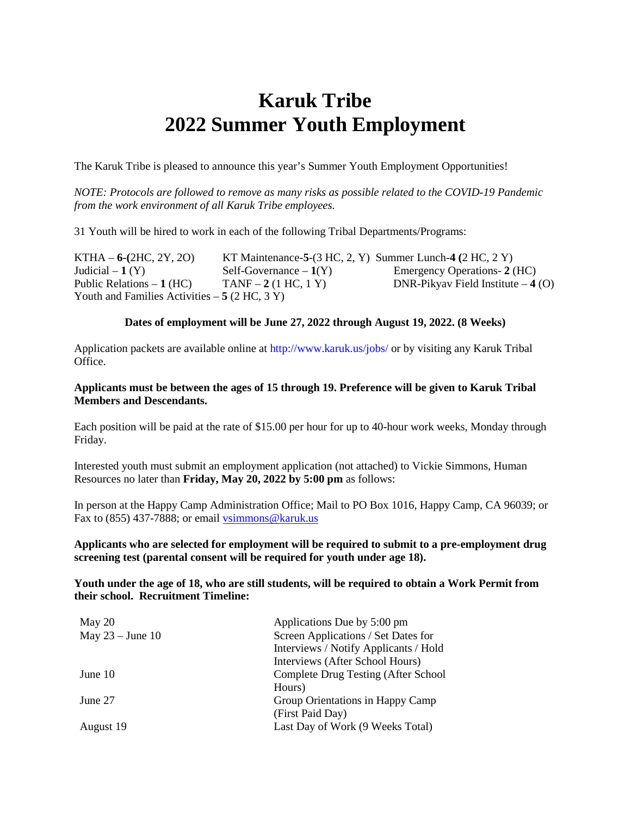# **Karuk Tribe 2022 Summer Youth Employment**

The Karuk Tribe is pleased to announce this year's Summer Youth Employment Opportunities!

*NOTE: Protocols are followed to remove as many risks as possible related to the COVID-19 Pandemic from the work environment of all Karuk Tribe employees.* 

31 Youth will be hired to work in each of the following Tribal Departments/Programs:

KTHA – **6-(**2HC, 2Y, 2O) KT Maintenance-**5**-(3 HC, 2, Y) Summer Lunch-**4 (**2 HC, 2 Y) Judicial – **1** (Y) Self-Governance – **1**(Y) Emergency Operations- **2** (HC) Public Relations – **1** (HC) TANF – **2** (1 HC, 1 Y) DNR-Pikyav Field Institute – **4** (O) Youth and Families Activities  $-5$  (2 HC, 3 Y)

#### **Dates of employment will be June 27, 2022 through August 19, 2022. (8 Weeks)**

Application packets are available online at http://www.karuk.us/jobs/ or by visiting any Karuk Tribal Office.

#### **Applicants must be between the ages of 15 through 19. Preference will be given to Karuk Tribal Members and Descendants.**

Each position will be paid at the rate of \$15.00 per hour for up to 40-hour work weeks, Monday through Friday.

Interested youth must submit an employment application (not attached) to Vickie Simmons, Human Resources no later than **Friday, May 20, 2022 by 5:00 pm** as follows:

In person at the Happy Camp Administration Office; Mail to PO Box 1016, Happy Camp, CA 96039; or Fax to (855) 437-7888; or email vsimmons@karuk.us

#### **Applicants who are selected for employment will be required to submit to a pre-employment drug screening test (parental consent will be required for youth under age 18).**

#### **Youth under the age of 18, who are still students, will be required to obtain a Work Permit from their school. Recruitment Timeline:**

| Applications Due by 5:00 pm           |
|---------------------------------------|
| Screen Applications / Set Dates for   |
| Interviews / Notify Applicants / Hold |
| Interviews (After School Hours)       |
| Complete Drug Testing (After School   |
| Hours)                                |
| Group Orientations in Happy Camp      |
| (First Paid Day)                      |
| Last Day of Work (9 Weeks Total)      |
|                                       |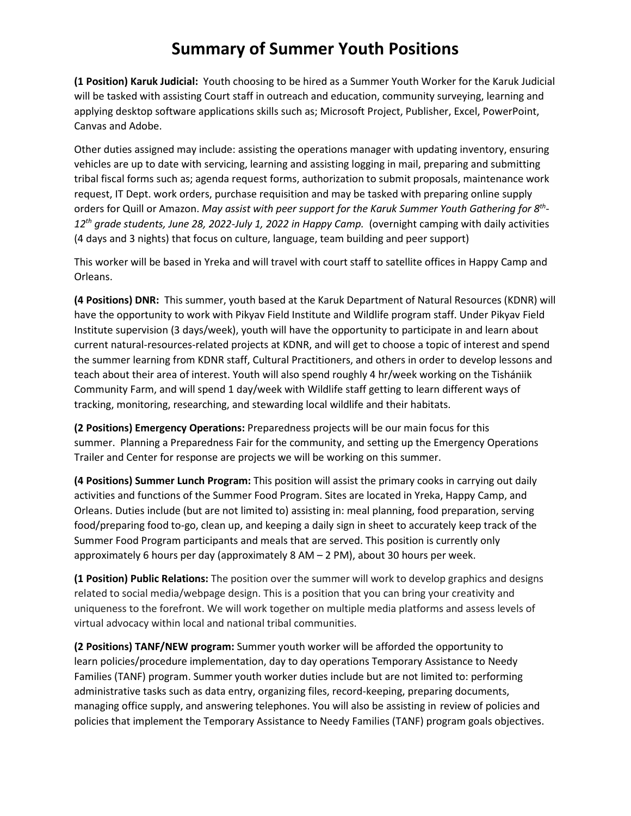## **Summary of Summer Youth Positions**

**(1 Position) Karuk Judicial:** Youth choosing to be hired as a Summer Youth Worker for the Karuk Judicial will be tasked with assisting Court staff in outreach and education, community surveying, learning and applying desktop software applications skills such as; Microsoft Project, Publisher, Excel, PowerPoint, Canvas and Adobe.

Other duties assigned may include: assisting the operations manager with updating inventory, ensuring vehicles are up to date with servicing, learning and assisting logging in mail, preparing and submitting tribal fiscal forms such as; agenda request forms, authorization to submit proposals, maintenance work request, IT Dept. work orders, purchase requisition and may be tasked with preparing online supply orders for Quill or Amazon. *May assist with peer support for the Karuk Summer Youth Gathering for 8th-12th grade students, June 28, 2022-July 1, 2022 in Happy Camp.* (overnight camping with daily activities (4 days and 3 nights) that focus on culture, language, team building and peer support)

This worker will be based in Yreka and will travel with court staff to satellite offices in Happy Camp and Orleans.

**(4 Positions) DNR:** This summer, youth based at the Karuk Department of Natural Resources (KDNR) will have the opportunity to work with Pikyav Field Institute and Wildlife program staff. Under Pikyav Field Institute supervision (3 days/week), youth will have the opportunity to participate in and learn about current natural-resources-related projects at KDNR, and will get to choose a topic of interest and spend the summer learning from KDNR staff, Cultural Practitioners, and others in order to develop lessons and teach about their area of interest. Youth will also spend roughly 4 hr/week working on the Tishániik Community Farm, and will spend 1 day/week with Wildlife staff getting to learn different ways of tracking, monitoring, researching, and stewarding local wildlife and their habitats.

**(2 Positions) Emergency Operations:** Preparedness projects will be our main focus for this summer. Planning a Preparedness Fair for the community, and setting up the Emergency Operations Trailer and Center for response are projects we will be working on this summer.

**(4 Positions) Summer Lunch Program:** This position will assist the primary cooks in carrying out daily activities and functions of the Summer Food Program. Sites are located in Yreka, Happy Camp, and Orleans. Duties include (but are not limited to) assisting in: meal planning, food preparation, serving food/preparing food to-go, clean up, and keeping a daily sign in sheet to accurately keep track of the Summer Food Program participants and meals that are served. This position is currently only approximately 6 hours per day (approximately 8 AM – 2 PM), about 30 hours per week.

**(1 Position) Public Relations:** The position over the summer will work to develop graphics and designs related to social media/webpage design. This is a position that you can bring your creativity and uniqueness to the forefront. We will work together on multiple media platforms and assess levels of virtual advocacy within local and national tribal communities.

**(2 Positions) TANF/NEW program:** Summer youth worker will be afforded the opportunity to learn policies/procedure implementation, day to day operations Temporary Assistance to Needy Families (TANF) program. Summer youth worker duties include but are not limited to: performing administrative tasks such as data entry, organizing files, record-keeping, preparing documents, managing office supply, and answering telephones. You will also be assisting in review of policies and policies that implement the Temporary Assistance to Needy Families (TANF) program goals objectives.